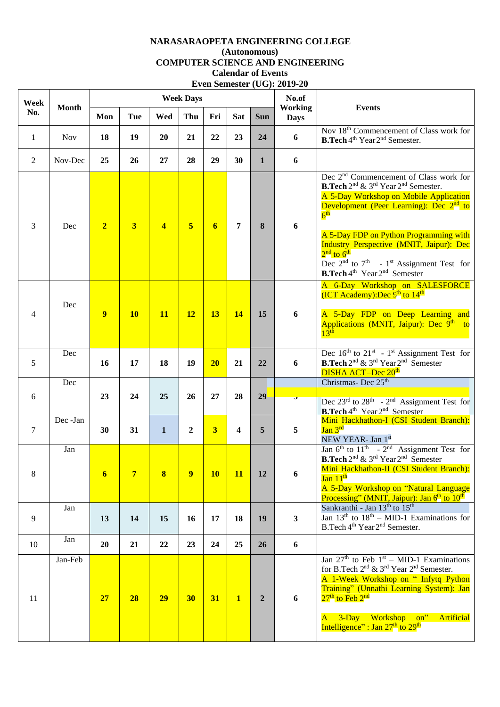## **NARASARAOPETA ENGINEERING COLLEGE (Autonomous) COMPUTER SCIENCE AND ENGINEERING Calendar of Events Even Semester (UG): 2019-20**

| Week<br>No.    | <b>Month</b> |                 |                         |                         | <b>Week Days</b>        |                         |                         |                | No.of<br><b>Working</b><br><b>Days</b> | <b>Events</b>                                                                                                                                                                                                                                                                                                                                                                                                                                                                     |
|----------------|--------------|-----------------|-------------------------|-------------------------|-------------------------|-------------------------|-------------------------|----------------|----------------------------------------|-----------------------------------------------------------------------------------------------------------------------------------------------------------------------------------------------------------------------------------------------------------------------------------------------------------------------------------------------------------------------------------------------------------------------------------------------------------------------------------|
|                |              | Mon             | <b>Tue</b>              | Wed                     | Thu                     | Fri                     | <b>Sat</b>              | <b>Sun</b>     |                                        |                                                                                                                                                                                                                                                                                                                                                                                                                                                                                   |
| $\mathbf{1}$   | <b>Nov</b>   | 18              | 19                      | 20                      | 21                      | 22                      | 23                      | 24             | 6                                      | Nov 18 <sup>th</sup> Commencement of Class work for<br><b>B.Tech</b> 4 <sup>th</sup> Year 2 <sup>nd</sup> Semester.                                                                                                                                                                                                                                                                                                                                                               |
| $\overline{2}$ | Nov-Dec      | 25              | 26                      | 27                      | 28                      | 29                      | 30                      | 1              | 6                                      |                                                                                                                                                                                                                                                                                                                                                                                                                                                                                   |
| 3              | Dec          | $\overline{2}$  | $\overline{\mathbf{3}}$ | $\overline{\mathbf{4}}$ | $\overline{\mathbf{5}}$ | $\overline{\mathbf{6}}$ | 7                       | 8              | 6                                      | Dec $2nd$ Commencement of Class work for<br><b>B.Tech</b> 2 <sup>nd</sup> & 3 <sup>rd</sup> Year 2 <sup>nd</sup> Semester.<br>A 5-Day Workshop on Mobile Application<br>Development (Peer Learning): Dec 2 <sup>nd</sup> to<br>6 <sup>th</sup><br>A 5-Day FDP on Python Programming with<br>Industry Perspective (MNIT, Jaipur): Dec<br>$2nd$ to $6th$<br>Dec $2nd$ to $7th$ - 1 <sup>st</sup> Assignment Test for<br><b>B.Tech</b> 4 <sup>th</sup> Year 2 <sup>nd</sup> Semester |
| $\overline{4}$ | Dec          | $\overline{9}$  | <b>10</b>               | <b>11</b>               | <b>12</b>               | 13                      | 14                      | 15             | 6                                      | A 6-Day Workshop on SALESFORCE<br>(ICT Academy):Dec 9 <sup>th</sup> to 14 <sup>th</sup><br>A 5-Day FDP on Deep Learning and<br>Applications (MNIT, Jaipur): Dec 9 <sup>th</sup> to<br>$13^{\text{th}}$                                                                                                                                                                                                                                                                            |
| 5              | Dec          | 16              | 17                      | 18                      | 19                      | 20                      | 21                      | 22             | 6                                      | Dec $16th$ to $21st$ - 1 <sup>st</sup> Assignment Test for<br><b>B.Tech</b> 2 <sup>nd</sup> & 3 <sup>rd</sup> Year 2 <sup>nd</sup> Semester<br>DISHA ACT-Dec 20 <sup>th</sup>                                                                                                                                                                                                                                                                                                     |
| 6              | Dec          | 23              | 24                      | 25                      | 26                      | 27                      | 28                      | 29             |                                        | Christmas-Dec 25 <sup>th</sup><br>Dec $23^{\text{rd}}$ to $28^{\text{th}}$ - $2^{\text{nd}}$ Assignment Test for                                                                                                                                                                                                                                                                                                                                                                  |
| $\tau$         | Dec -Jan     | 30              | 31                      | $\mathbf{1}$            | $\boldsymbol{2}$        | $\overline{\mathbf{3}}$ | $\overline{\mathbf{4}}$ | 5              | 5                                      | <b>B.Tech</b> 4 <sup>th</sup> Year 2 <sup>nd</sup> Semester<br>Mini Hackhathon-I (CSI Student Branch):<br>Jan 3rd<br>NEW YEAR- Jan 1st                                                                                                                                                                                                                                                                                                                                            |
| 8              | Jan          | $6\phantom{1}6$ | $\overline{7}$          | 8                       | $\overline{9}$          | <b>10</b>               | 11                      | 12             | 6                                      | Jan $6^{\text{th}}$ to $11^{\text{th}}$ - $2^{\text{nd}}$ Assignment Test for<br>B.Tech 2 <sup>nd</sup> & 3 <sup>rd</sup> Year 2 <sup>nd</sup> Semester<br>Mini Hackhathon-II (CSI Student Branch):<br>Jan 11 <sup>th</sup><br>A 5-Day Workshop on "Natural Language<br>Processing" (MNIT, Jaipur): Jan 6 <sup>th</sup> to 10 <sup>th</sup>                                                                                                                                       |
| 9              | ${\rm Jan}$  | 13              | 14                      | 15                      | 16                      | 17                      | 18                      | 19             | $\mathbf{3}$                           | Sankranthi - Jan 13 <sup>th</sup> to 15 <sup>th</sup><br>Jan $13th$ to $18th - MID-1$ Examinations for<br>B.Tech 4 <sup>th</sup> Year 2 <sup>nd</sup> Semester.                                                                                                                                                                                                                                                                                                                   |
| 10             | Jan          | 20              | 21                      | 22                      | 23                      | 24                      | 25                      | 26             | 6                                      |                                                                                                                                                                                                                                                                                                                                                                                                                                                                                   |
| 11             | Jan-Feb      | 27              | 28                      | 29                      | 30                      | 31                      | $\mathbf{1}$            | $\overline{2}$ | 6                                      | Jan $27th$ to Feb $1st$ – MID-1 Examinations<br>for B.Tech 2 <sup>nd</sup> & 3 <sup>rd</sup> Year 2 <sup>nd</sup> Semester.<br>A 1-Week Workshop on " Infytq Python<br>Training" (Unnathi Learning System): Jan<br>27 <sup>th</sup> to Feb <sup>2nd</sup><br>3-Day Workshop on"<br>Artificial<br>$\mathbf{A}$<br>Intelligence" : Jan $27th$ to $29th$                                                                                                                             |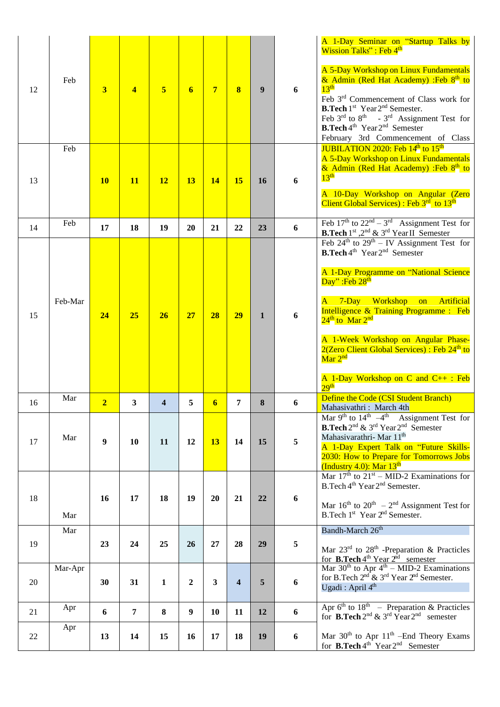|    |         |                         |                |                |                  |                |                         |              |                  | A 1-Day Seminar on "Startup Talks by<br>Wission Talks": Feb 4 <sup>th</sup>                                                                                                                                                                                                                                                                                                                                                                                                                                                             |
|----|---------|-------------------------|----------------|----------------|------------------|----------------|-------------------------|--------------|------------------|-----------------------------------------------------------------------------------------------------------------------------------------------------------------------------------------------------------------------------------------------------------------------------------------------------------------------------------------------------------------------------------------------------------------------------------------------------------------------------------------------------------------------------------------|
| 12 | Feb     | $\overline{\mathbf{3}}$ | $\overline{4}$ | $\overline{5}$ | 6                | $\overline{7}$ | 8                       | 9            | 6                | A 5-Day Workshop on Linux Fundamentals<br>& Admin (Red Hat Academy) :Feb 8 <sup>th</sup> to<br>13 <sup>th</sup><br>Feb 3 <sup>rd</sup> Commencement of Class work for<br><b>B.Tech</b> 1 <sup>st</sup> Year 2 <sup>nd</sup> Semester.<br>Feb $3^{rd}$ to $8^{th}$ - $3^{rd}$ Assignment Test for<br><b>B.Tech</b> $4^{\text{th}}$ Year $2^{\text{nd}}$ Semester<br>February 3rd Commencement of Class                                                                                                                                   |
|    | Feb     |                         |                |                |                  |                |                         |              |                  | <b>JUBILATION 2020: Feb 14th to 15th</b><br>A 5-Day Workshop on Linux Fundamentals<br>& Admin (Red Hat Academy) :Feb 8 <sup>th</sup> to                                                                                                                                                                                                                                                                                                                                                                                                 |
| 13 |         | <b>10</b>               | <b>11</b>      | <b>12</b>      | 13               | 14             | 15                      | <b>16</b>    | 6                | 13 <sup>th</sup>                                                                                                                                                                                                                                                                                                                                                                                                                                                                                                                        |
|    |         |                         |                |                |                  |                |                         |              |                  | A 10-Day Workshop on Angular (Zero<br>Client Global Services) : Feb $3rd$ to $13th$                                                                                                                                                                                                                                                                                                                                                                                                                                                     |
| 14 | Feb     | 17                      | 18             | 19             | 20               | 21             | 22                      | 23           | 6                | Feb $17th$ to $22nd - 3rd$ Assignment Test for<br><b>B.Tech</b> $1^{st}$ , $2^{nd}$ & $3^{rd}$ Year II Semester                                                                                                                                                                                                                                                                                                                                                                                                                         |
| 15 | Feb-Mar | 24                      | 25             | 26             | 27               | 28             | 29                      | $\mathbf{1}$ | 6                | Feb $24^{\text{th}}$ to $29^{\text{th}} - \text{IV}$ Assignment Test for<br><b>B.Tech</b> 4 <sup>th</sup> Year 2 <sup>nd</sup> Semester<br>A 1-Day Programme on "National Science<br>Day": Feb 28 <sup>th</sup><br>7-Day Workshop on<br>Artificial<br>A<br>Intelligence & Training Programme : Feb<br>24 <sup>th</sup> to Mar 2 <sup>nd</sup><br>A 1-Week Workshop on Angular Phase-<br>2(Zero Client Global Services) : Feb 24 <sup>th</sup> to<br>Mar 2 <sup>nd</sup><br>A 1-Day Workshop on C and $C_{++}$ : Feb<br>29 <sup>th</sup> |
| 16 | Mar     | $\overline{2}$          | 3              | 4              | 5                | 6              | 7                       | 8            | 6                | Define the Code (CSI Student Branch)<br>Mahasivathri: March 4th                                                                                                                                                                                                                                                                                                                                                                                                                                                                         |
| 17 | Mar     | $\boldsymbol{9}$        | 10             | 11             | 12               | 13             | 14                      | 15           | 5                | Mar 9 <sup>th</sup> to $14^{\text{th}}$ -4 <sup>th</sup> Assignment Test for<br><b>B.Tech</b> 2 <sup>nd</sup> & 3 <sup>rd</sup> Year 2 <sup>nd</sup> Semester<br>Mahasivarathri-Mar 11 <sup>th</sup><br>A 1-Day Expert Talk on "Future Skills-<br>2030: How to Prepare for Tomorrows Jobs<br>(Industry 4.0): Mar $13th$                                                                                                                                                                                                                 |
|    |         |                         |                |                |                  |                |                         |              |                  | Mar $17th$ to $21st - MID-2$ Examinations for<br>B.Tech 4 <sup>th</sup> Year 2 <sup>nd</sup> Semester.                                                                                                                                                                                                                                                                                                                                                                                                                                  |
| 18 | Mar     | 16                      | 17             | 18             | 19               | 20             | 21                      | 22           | 6                | Mar $16^{th}$ to $20^{th}$ – $2^{nd}$ Assignment Test for<br>B.Tech 1 <sup>st</sup> Year 2 <sup>nd</sup> Semester.                                                                                                                                                                                                                                                                                                                                                                                                                      |
|    | Mar     |                         |                |                |                  |                |                         |              |                  | Bandh-March 26 <sup>th</sup>                                                                                                                                                                                                                                                                                                                                                                                                                                                                                                            |
| 19 |         | 23                      | 24             | 25             | 26               | 27             | 28                      | 29           | 5                | Mar $23^{\text{rd}}$ to $28^{\text{th}}$ -Preparation & Practicles<br>for <b>B.Tech</b> 4 <sup>th</sup> Year 2 <sup>nd</sup> semester                                                                                                                                                                                                                                                                                                                                                                                                   |
| 20 | Mar-Apr | 30                      | 31             | $\mathbf{1}$   | $\boldsymbol{2}$ | $\mathbf{3}$   | $\overline{\mathbf{4}}$ | 5            | $\boldsymbol{6}$ | Mar $30^{\text{th}}$ to Apr $4^{\text{th}}$ – MID-2 Examinations<br>for B.Tech $2nd$ & $3rd$ Year $2nd$ Semester.<br>Ugadi : April $4th$                                                                                                                                                                                                                                                                                                                                                                                                |
| 21 | Apr     | 6                       | 7              | 8              | $\boldsymbol{9}$ | 10             | 11                      | 12           | 6                | Apr $6^{th}$ to $18^{th}$ – Preparation & Practicles<br>for <b>B.Tech</b> $2^{nd}$ & $3^{rd}$ Year $2^{nd}$ semester                                                                                                                                                                                                                                                                                                                                                                                                                    |
| 22 | Apr     | 13                      | 14             | 15             | 16               | 17             | 18                      | 19           | 6                | Mar $30th$ to Apr $11th$ -End Theory Exams<br>for $\mathbf{B}.\mathbf{Tech}4^{\text{th}}$ Year $2^{\text{nd}}$ Semester                                                                                                                                                                                                                                                                                                                                                                                                                 |